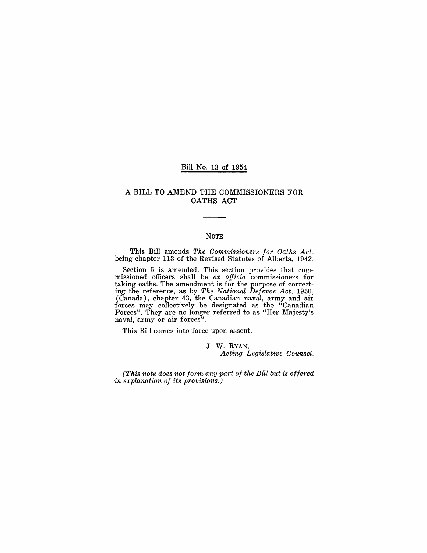## Bill No. 13 of 1954

## A BILL TO AMEND THE COMMISSIONERS FOR OATHS ACT

#### NOTE

This Bill amends *The Commissioners for Oaths Act,*  being chapter 113 of the Revised Statutes of Alberta, 1942.

Section 5 is amended. This section provides that commissioned officers shall be *ex officio* commissioners for taking oaths. The amendment is for the purpose of correcting the reference, as by *The National Defence Act, 1950,*  (Canada), chapter 43, the Canadian naval, army and air forces may collectively be designated as the "Canadian" Forces". They are no longer referred to as "Her Majesty's naval, army or air forces".

This Bill comes into force upon assent.

J. W. RYAN, *Acting Legislative Counsel.* 

*(This note does not form any part of the Bill but is offered in explanation of its provisions.)*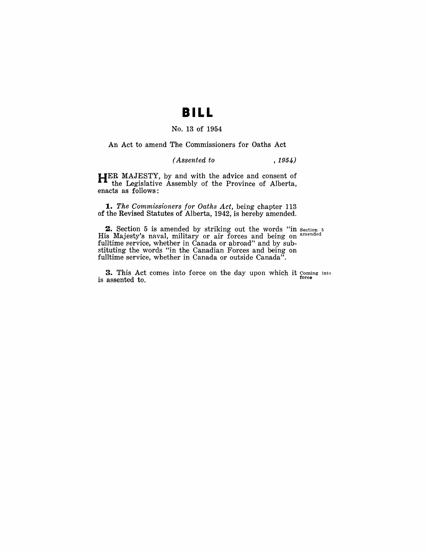## **BILL**

## No. 13 of 1954

An Act to amend The Commissioners for Oaths Act

*( Assented to* ,1954)

**HER** MAJESTY, by and with the advice and consent of the Legislative Assembly of the Province of Alberta, enacts as follows:

*1. The Commissioners for Oaths Act,* being chapter 113 of the Revised Statutes of Alberta, 1942, is hereby amended.

**2.** Section 5 is amended by striking out the words "in section 5 His Majesty's naval, military or air forces and being on amended fulltime service, whether in Canada or abroad" and by substituting the words "in the Canadian Forces and being on fulltime service, whether in Canada or outside Canada".

**3.** This Act comes into force on the day upon which it coming into is assented to. force